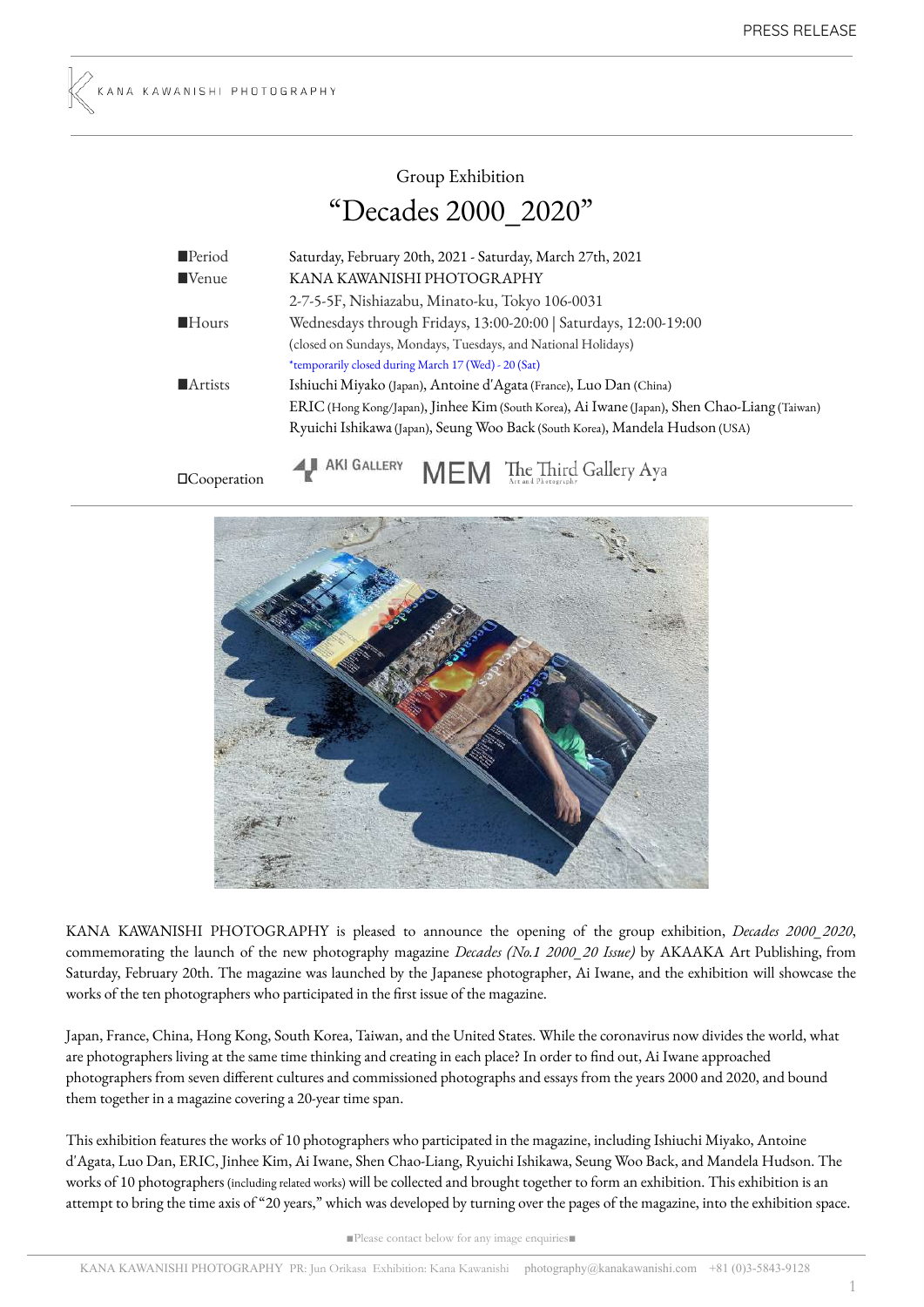# Group Exhibition "Decades 2000\_2020"

| Period                 | Saturday, February 20th, 2021 - Saturday, March 27th, 2021                                   |
|------------------------|----------------------------------------------------------------------------------------------|
| $\blacksquare$ Venue   | KANA KAWANISHI PHOTOGRAPHY                                                                   |
|                        | 2-7-5-5F, Nishiazabu, Minato-ku, Tokyo 106-0031                                              |
| $\blacksquare$ Hours   | Wednesdays through Fridays, 13:00-20:00   Saturdays, 12:00-19:00                             |
|                        | (closed on Sundays, Mondays, Tuesdays, and National Holidays)                                |
|                        | *temporarily closed during March 17 (Wed) - 20 (Sat)                                         |
| $\blacksquare$ Artists | Ishiuchi Miyako (Japan), Antoine d'Agata (France), Luo Dan (China)                           |
|                        | ERIC (Hong Kong/Japan), Jinhee Kim (South Korea), Ai Iwane (Japan), Shen Chao-Liang (Taiwan) |
|                        | Ryuichi Ishikawa (Japan), Seung Woo Back (South Korea), Mandela Hudson (USA)                 |
|                        |                                                                                              |

□Cooperation

I AKI GALLERY MEM The Third Gallery Aya



KANA KAWANISHI PHOTOGRAPHY is pleased to announce the opening of the group exhibition, *Decades 2000\_2020*, commemorating the launch of the new photography magazine *Decades (No.1 2000\_20 Issue)* by AKAAKA Art Publishing, from Saturday, February 20th. The magazine was launched by the Japanese photographer, Ai Iwane, and the exhibition will showcase the works of the ten photographers who participated in the first issue of the magazine.

Japan, France, China, Hong Kong, South Korea, Taiwan, and the United States. While the coronavirus now divides the world, what are photographers living at the same time thinking and creating in each place? In order to find out, Ai Iwane approached photographers from seven different cultures and commissioned photographs and essays from the years 2000 and 2020, and bound them together in a magazine covering a 20-year time span.

This exhibition features the works of 10 photographers who participated in the magazine, including Ishiuchi Miyako, Antoine d'Agata, Luo Dan, ERIC, Jinhee Kim, Ai Iwane, Shen Chao-Liang, Ryuichi Ishikawa, Seung Woo Back, and Mandela Hudson. The works of 10 photographers (including related works) will be collected and brought together to form an exhibition. This exhibition is an attempt to bring the time axis of "20 years," which was developed by turning over the pages of the magazine, into the exhibition space.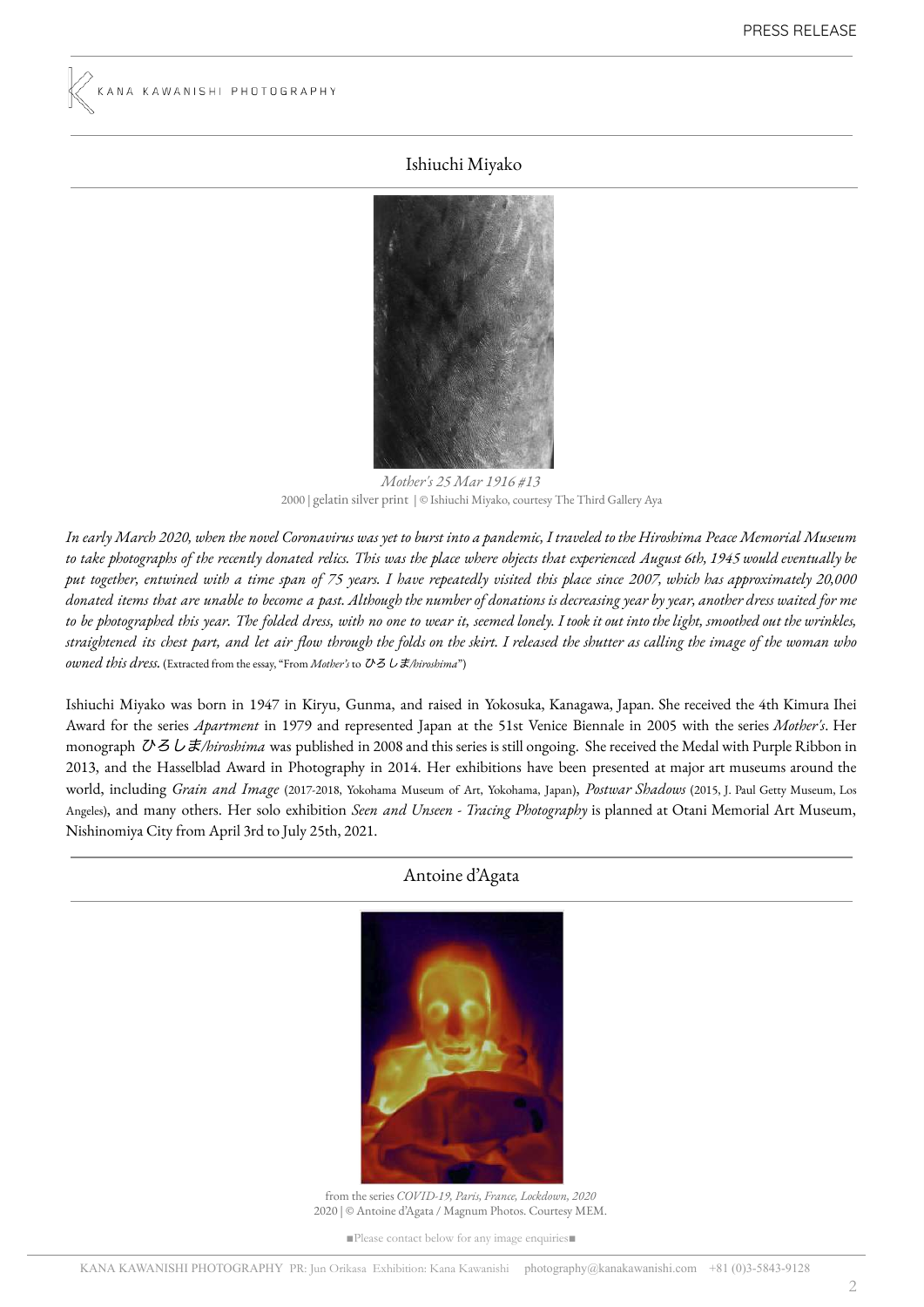#### Ishiuchi Miyako



*Mother's 25 Mar 1916 #13* 2000 | gelatin silver print | © Ishiuchi Miyako, courtesy The Third Gallery Aya

In early March 2020, when the novel Coronavirus was yet to burst into a pandemic, I traveled to the Hiroshima Peace Memorial Museum to take photographs of the recently donated relics. This was the place where objects that experienced August 6th, 1945 would eventually be put together, entwined with a time span of 75 years. I have repeatedly visited this place since 2007, which has approximately 20,000 donated items that are unable to become a past. Although the number of donations is decreasing year by year, another dress waited for me to be photographed this year. The folded dress, with no one to wear it, seemed lonely. I took it out into the light, smoothed out the wrinkles, straightened its chest part, and let air flow through the folds on the skirt. I released the shutter as calling the image of the woman who *owned this dress.* (Extracted from the essay, "From *Mother's* to ひろしま*/hiroshima*")

Ishiuchi Miyako was born in 1947 in Kiryu, Gunma, and raised in Yokosuka, Kanagawa, Japan. She received the 4th Kimura Ihei Award for the series *Apartment* in 1979 and represented Japan at the 51st Venice Biennale in 2005 with the series *Mother's*. Her monograph ひろしま*/hiroshima* was published in 2008 and this series is still ongoing. She received the Medal with Purple Ribbon in 2013, and the Hasselblad Award in Photography in 2014. Her exhibitions have been presented at major art museums around the world, including *Grain and Image* (2017-2018, Yokohama Museum of Art, Yokohama, Japan), *Postwar Shadows* (2015, J. Paul Getty Museum, Los Angeles), and many others. Her solo exhibition *Seen and Unseen - Tracing Photography* is planned at Otani Memorial Art Museum, Nishinomiya City from April 3rd to July 25th, 2021.

#### Antoine d'Agata



from the series *COVID-19, Paris, France, Lockdown, 2020* 2020 | © Antoine d'Agata / Magnum Photos. Courtesy MEM.

■Please contact below for any image enquiries■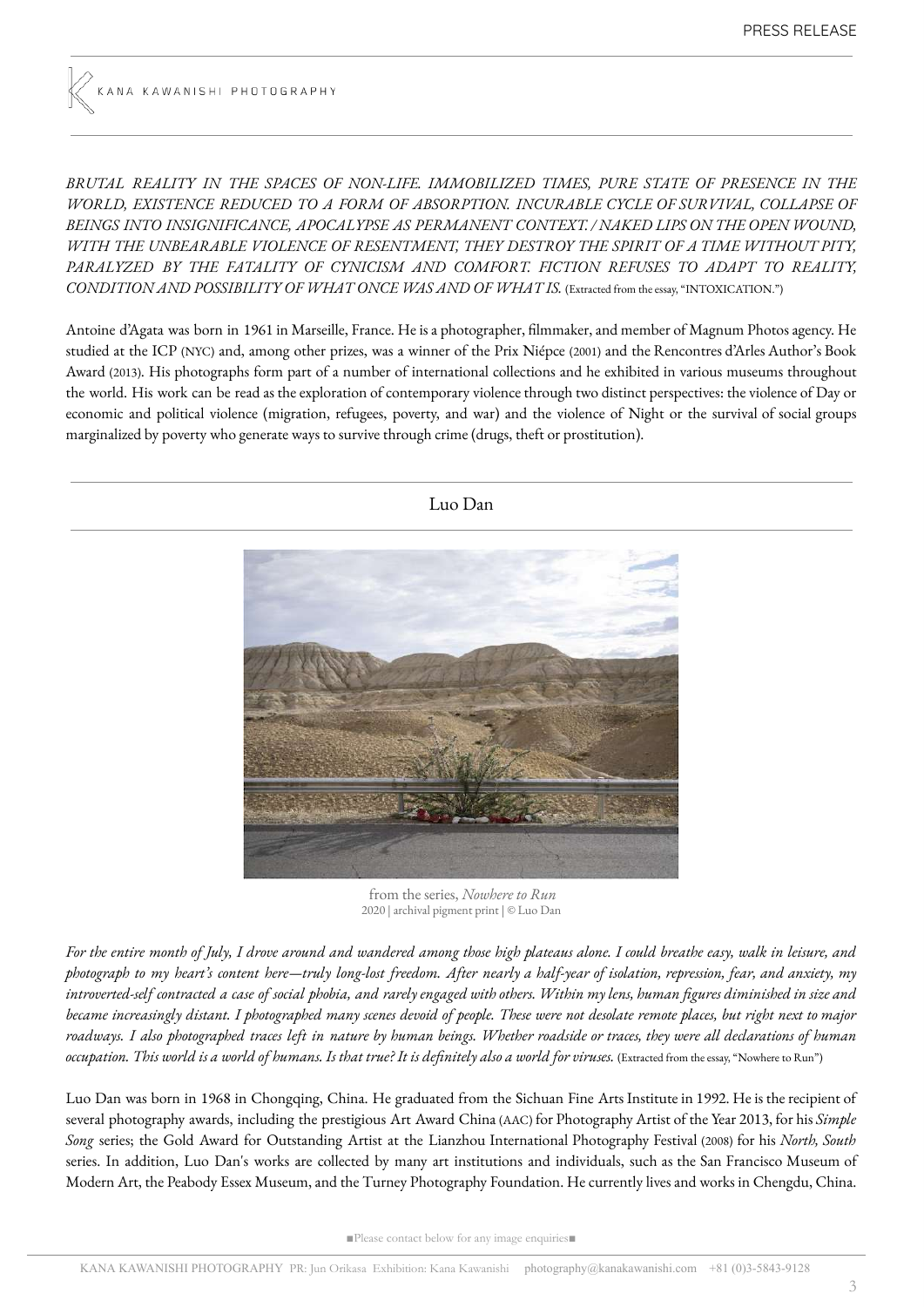*BRUTAL REALITY IN THE SPACES OF NON-LIFE. IMMOBILIZED TIMES, PURE STATE OF PRESENCE IN THE WORLD, EXISTENCE REDUCED TO A FORM OF ABSORPTION. INCURABLE CYCLE OF SURVIVAL, COLLAPSE OF BEINGS INTO INSIGNIFICANCE, APOCALYPSE AS PERMANENT CONTEXT. / NAKED LIPS ON THE OPEN WOUND, WITH THE UNBEARABLE VIOLENCE OF RESENTMENT, THEY DESTROY THE SPIRIT OF A TIME WITHOUT PITY, PARALYZED BY THE FATALITY OF CYNICISM AND COMFORT. FICTION REFUSES TO ADAPT TO REALITY, CONDITION AND POSSIBILITY OF WHAT ONCE WAS AND OF WHAT IS.* (Extracted from the essay, "INTOXICATION.")

Antoine d'Agata was born in 1961 in Marseille, France. He is a photographer, filmmaker, and member of Magnum Photos agency. He studied at the ICP (NYC) and, among other prizes, was a winner of the Prix Niépce (2001) and the Rencontres d'Arles Author's Book Award (2013). His photographs form part of a number of international collections and he exhibited in various museums throughout the world. His work can be read as the exploration of contemporary violence through two distinct perspectives: the violence of Day or economic and political violence (migration, refugees, poverty, and war) and the violence of Night or the survival of social groups marginalized by poverty who generate ways to survive through crime (drugs, theft or prostitution).



from the series, *Nowhere to Run* 2020 | archival pigment print | © Luo Dan

For the entire month of July, I drove around and wandered among those high plateaus alone. I could breathe easy, walk in leisure, and photograph to my heart's content here—truly long-lost freedom. After nearly a half-year of isolation, repression, fear, and anxiety, my introverted-self contracted a case of social phobia, and rarely engaged with others. Within my lens, human figures diminished in size and became increasingly distant. I photographed many scenes devoid of people. These were not desolate remote places, but right next to major roadways. I also photographed traces left in nature by human beings. Whether roadside or traces, they were all declarations of human occupation. This world is a world of humans. Is that true? It is definitely also a world for viruses. (Extracted from the essay, "Nowhere to Run")

Luo Dan was born in 1968 in Chongqing, China. He graduated from the Sichuan Fine Arts Institute in 1992. He is the recipient of several photography awards, including the prestigious Art Award China(AAC) for Photography Artist of the Year 2013, for his *Simple Song* series; the Gold Award for Outstanding Artist at the Lianzhou International Photography Festival (2008) for his *North, South* series. In addition, Luo Dan's works are collected by many art institutions and individuals, such as the San Francisco Museum of Modern Art, the Peabody Essex Museum, and the Turney Photography Foundation. He currently lives and works in Chengdu, China.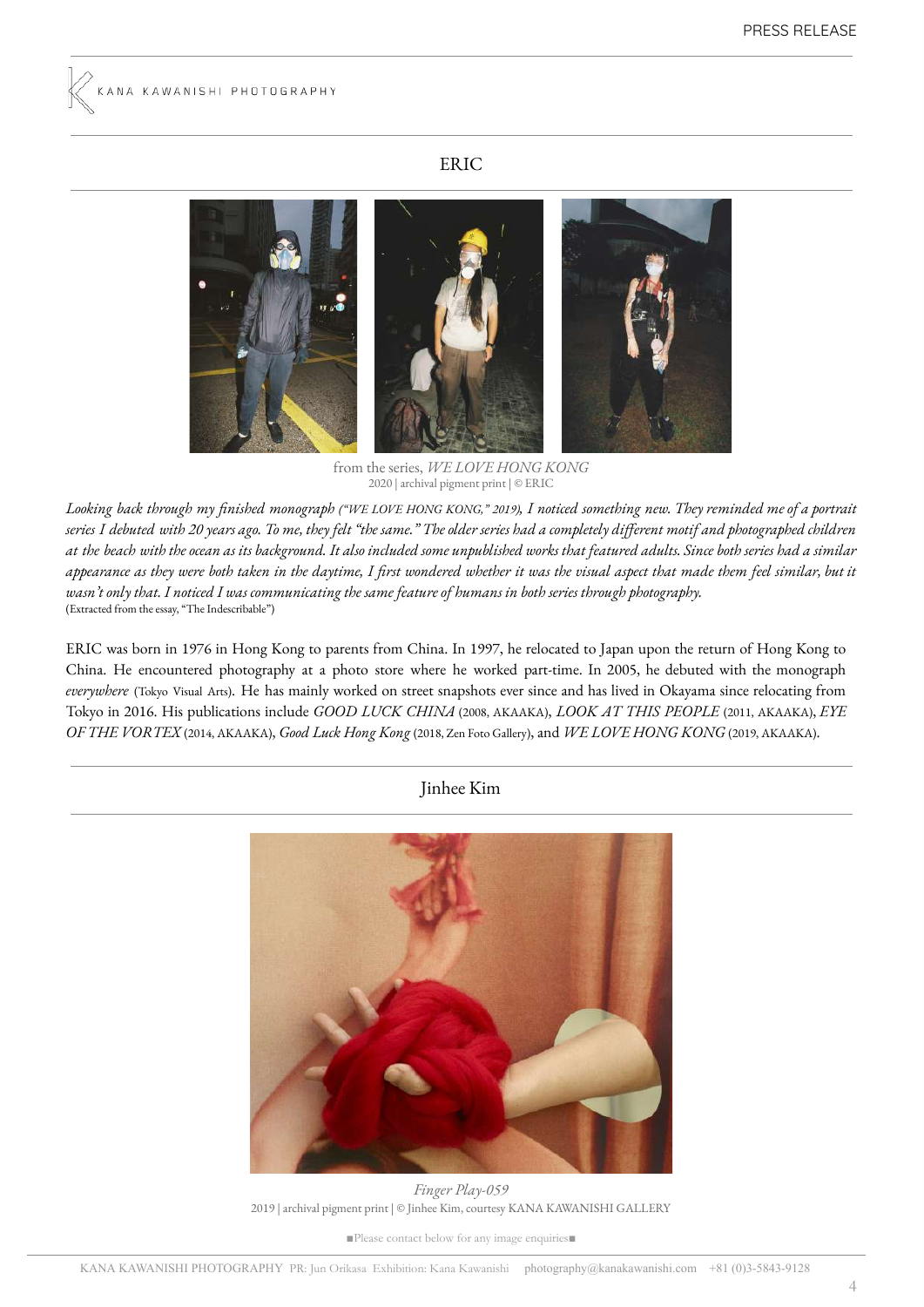## ERIC



from the series, *WE LOVE HONG KONG* 2020 | archival pigment print | © ERIC

Looking back through my finished monograph ("WE LOVE HONG KONG," 2019), I noticed something new. They reminded me of a portrait series I debuted with 20 years ago. To me, they felt "the same." The older series had a completely different motif and photographed children at the beach with the ocean as its background. It also included some unpublished works that featured adults. Since both series had a similar appearance as they were both taken in the daytime, I first wondered whether it was the visual aspect that made them feel similar, but it wasn't only that. I noticed I was communicating the same feature of humans in both series through photography. (Extracted from the essay, "The Indescribable")

ERIC was born in 1976 in Hong Kong to parents from China. In 1997, he relocated to Japan upon the return of Hong Kong to China. He encountered photography at a photo store where he worked part-time. In 2005, he debuted with the monograph *everywhere* (Tokyo Visual Arts). He has mainly worked on street snapshots ever since and has lived in Okayama since relocating from Tokyo in 2016. His publications include *GOOD LUCK CHINA* (2008, AKAAKA), *LOOK AT THIS PEOPLE* (2011, AKAAKA), *EYE OF THE VORTEX* (2014, AKAAKA), *Good Luck Hong Kong* (2018, Zen Foto Gallery), and *WE LOVE HONG KONG* (2019, AKAAKA).

Jinhee Kim



*Finger Play-059* 2019 | archival pigment print | © Jinhee Kim, courtesy KANA KAWANISHI GALLERY

■Please contact below for any image enquiries■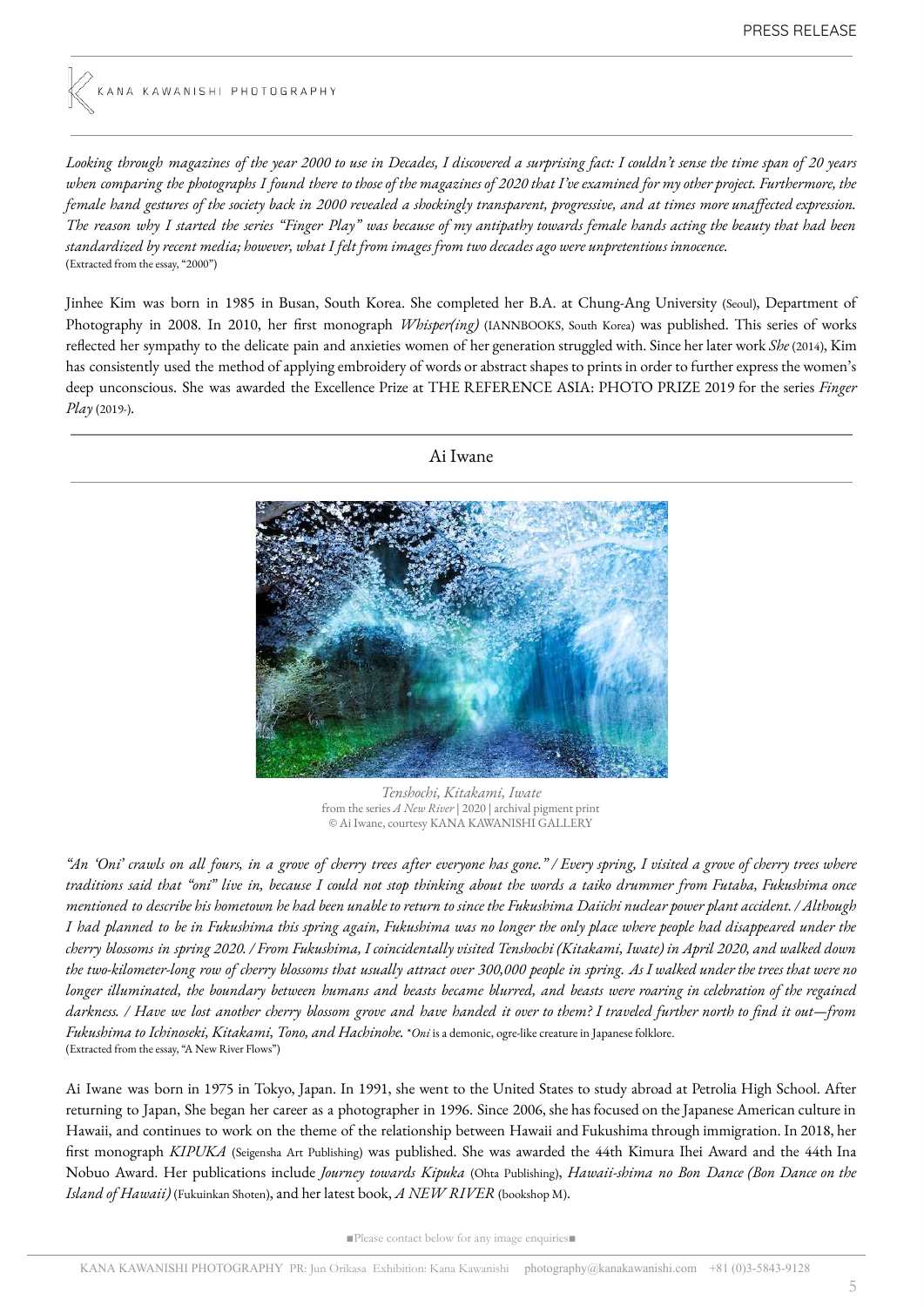Looking through magazines of the year 2000 to use in Decades, I discovered a surprising fact: I couldn't sense the time span of 20 years when comparing the photographs I found there to those of the magazines of 2020 that I've examined for my other project. Furthermore, the female hand gestures of the society back in 2000 revealed a shockingly transparent, progressive, and at times more unaffected expression. The reason why I started the series "Finger Play" was because of my antipathy towards female hands acting the beauty that had been standardized by recent media; however, what I felt from images from two decades ago were unpretentious innocence. (Extracted from the essay, "2000")

Jinhee Kim was born in 1985 in Busan, South Korea. She completed her B.A. at Chung-Ang University (Seoul), Department of Photography in 2008. In 2010, her first monograph *Whisper(ing)* (IANNBOOKS, South Korea) was published. This series of works reflected her sympathy to the delicate pain and anxieties women of her generation struggled with. Since her later work *She* (2014), Kim has consistently used the method of applying embroidery of words or abstract shapes to prints in order to further express the women's deep unconscious. She was awarded the Excellence Prize at THE REFERENCE ASIA: PHOTO PRIZE 2019 for the series *Finger Play* (2019-).



*Tenshochi, Kitakami, Iwate* from the series *A New River* | 2020 | archival pigment print © Ai Iwane, courtesy KANA KAWANISHI GALLERY

"An 'Oni' crawls on all fours, in a grove of cherry trees after everyone has gone." / Every spring, I visited a grove of cherry trees where traditions said that "oni" live in, because I could not stop thinking about the words a taiko drummer from Futaba, Fukushima once mentioned to describe his hometown he had been unable to return to since the Fukushima Daiichi nuclear power plant accident. / Although I had planned to be in Fukushima this spring again, Fukushima was no longer the only place where people had disappeared under the cherry blossoms in spring 2020. / From Fukushima, I coincidentally visited Tenshochi (Kitakami, Iwate) in April 2020, and walked down the two-kilometer-long row of cherry blossoms that usually attract over 300,000 people in spring. As I walked under the trees that were no longer illuminated, the boundary between humans and beasts became blurred, and beasts were roaring in celebration of the regained darkness. / Have we lost another cherry blossom grove and have handed it over to them? I traveled further north to find it out—from *Fukushima to Ichinoseki, Kitakami, Tono, and Hachinohe.* \**Oni* is a demonic, ogre-like creature in Japanese folklore. (Extracted from the essay, "A New River Flows")

Ai Iwane was born in 1975 in Tokyo, Japan. In 1991, she went to the United States to study abroad at Petrolia High School. After returning to Japan, She began her career as a photographer in 1996. Since 2006, she has focused on the Japanese American culture in Hawaii, and continues to work on the theme of the relationship between Hawaii and Fukushima through immigration. In 2018, her first monograph *KIPUKA* (Seigensha Art Publishing) was published. She was awarded the 44th Kimura Ihei Award and the 44th Ina Nobuo Award. Her publications include *Journey towards Kipuka* (Ohta Publishing), *Hawaii-shima no Bon Dance (Bon Dance on the Island of Hawaii)* (Fukuinkan Shoten), and her latest book, *A NEW RIVER* (bookshop M).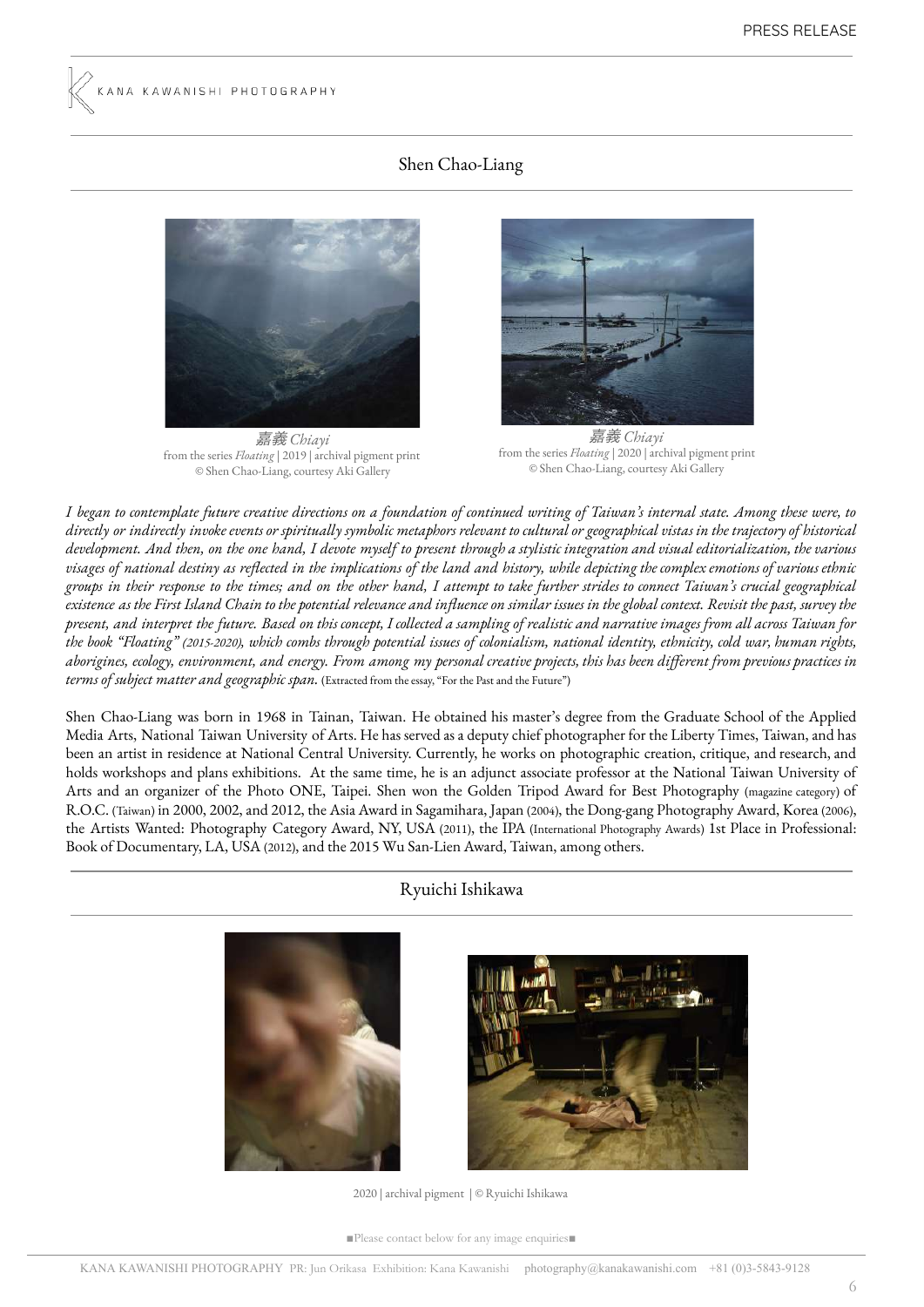# Shen Chao-Liang



嘉義 *Chiayi* from the series *Floating* | 2019 | archival pigment print © Shen Chao-Liang, courtesy Aki Gallery



嘉義 *Chiayi* from the series *Floating* | 2020 | archival pigment print © Shen Chao-Liang, courtesy Aki Gallery

I began to contemplate future creative directions on a foundation of continued writing of Taiwan's internal state. Among these were, to directly or indirectly invoke events or spiritually symbolic metaphors relevant to cultural or geographical vistas in the trajectory of historical development. And then, on the one hand, I devote myself to present through a stylistic integration and visual editorialization, the various visages of national destiny as reflected in the implications of the land and history, while depicting the complex emotions of various ethnic groups in their response to the times; and on the other hand, I attempt to take further strides to connect Taiwan's crucial geographical existence as the First Island Chain to the potential relevance and influence on similar issues in the global context. Revisit the past, survey the present, and interpret the future. Based on this concept, I collected a sampling of realistic and narrative images from all across Taiwan for the book "Floating" (2015-2020), which combs through potential issues of colonialism, national identity, ethnicity, cold war, human rights, aborigines, ecology, environment, and energy. From among my personal creative projects, this has been different from previous practices in *terms of subject matter and geographic span.* (Extracted from the essay, "For the Past and the Future")

Shen Chao-Liang was born in 1968 in Tainan, Taiwan. He obtained his master's degree from the Graduate School of the Applied Media Arts, National Taiwan University of Arts. He has served asa deputy chief photographer for the Liberty Times, Taiwan, and has been an artist in residence at National Central University. Currently, he works on photographic creation, critique, and research, and holds workshops and plans exhibitions. At the same time, he is an adjunct associate professor at the National Taiwan University of Arts and an organizer of the Photo ONE, Taipei. Shen won the Golden Tripod Award for Best Photography (magazine category) of R.O.C. (Taiwan) in 2000, 2002, and 2012, the Asia Award in Sagamihara, Japan (2004), the Dong-gang Photography Award, Korea (2006), the Artists Wanted: Photography Category Award, NY, USA (2011), the IPA (International Photography Awards) 1st Place in Professional: Book of Documentary, LA, USA (2012), and the 2015 Wu San-Lien Award, Taiwan, among others.

## Ryuichi Ishikawa





2020 | archival pigment | © Ryuichi Ishikawa

■Please contact below for any image enquiries■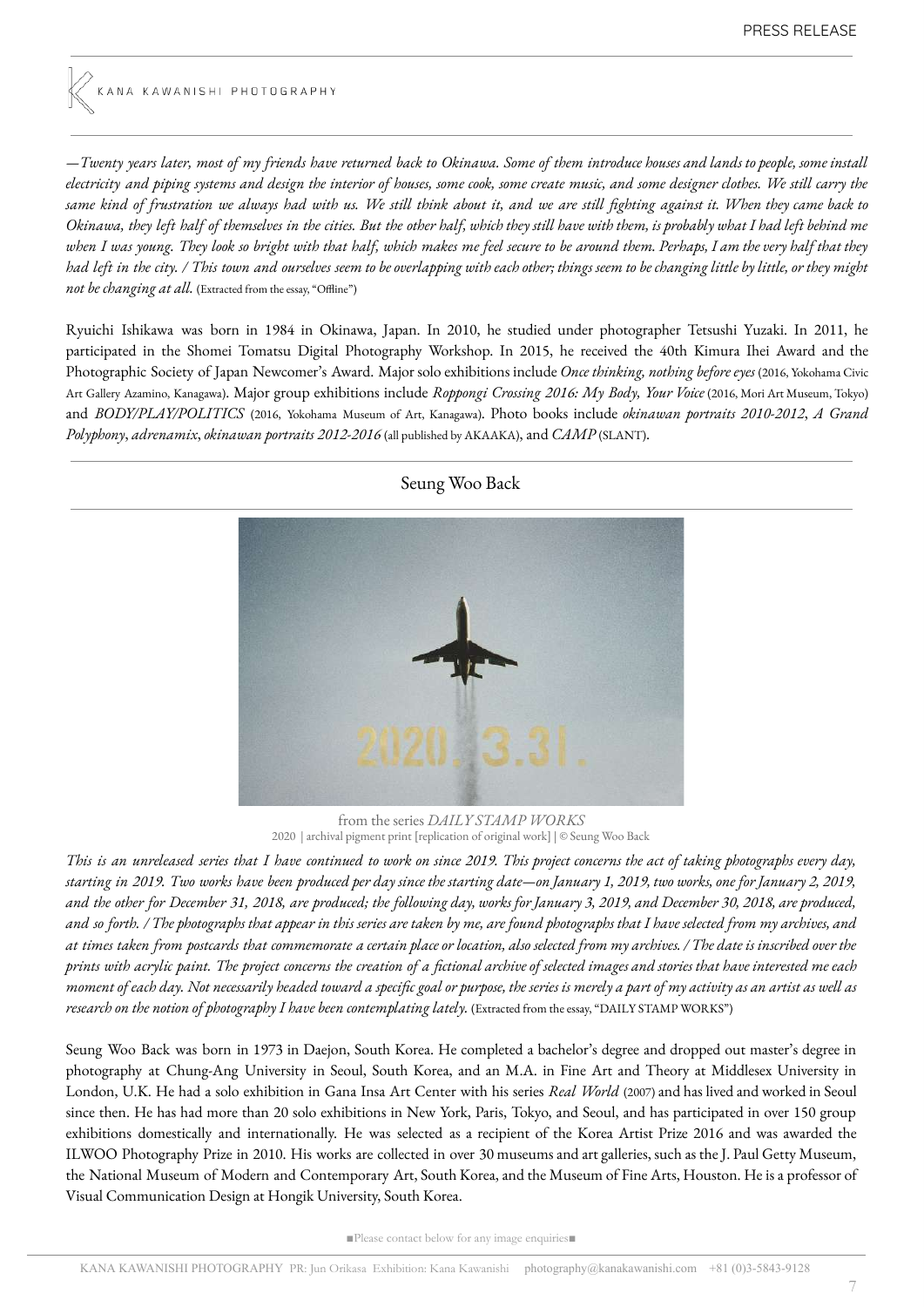—Twenty years later, most of my friends have returned back to Okinawa. Some of them introduce houses and lands to people, some install electricity and piping systems and design the interior of houses, some cook, some create music, and some designer clothes. We still carry the same kind of frustration we always had with us. We still think about it, and we are still fighting against it. When they came back to Okinawa, they left half of themselves in the cities. But the other half, which they still have with them, is probably what I had left behind me when I was young. They look so bright with that half, which makes me feel secure to be around them. Perhaps, I am the very half that they had left in the city. / This town and ourselves seem to be overlapping with each other; things seem to be changing little by little, or they might *not be changing at all.* (Extracted from the essay, "Offline")

Ryuichi Ishikawa was born in 1984 in Okinawa, Japan. In 2010, he studied under photographer Tetsushi Yuzaki. In 2011, he participated in the Shomei Tomatsu Digital Photography Workshop. In 2015, he received the 40th Kimura Ihei Award and the Photographic Society of Japan Newcomer's Award. Major solo exhibitions include *Once thinking, nothing before eyes* (2016, Yokohama Civic Art Gallery Azamino, Kanagawa). Major group exhibitions include *Roppongi Crossing 2016: My Body, Your Voice* (2016, Mori Art Museum, Tokyo) and *BODY/PLAY/POLITICS* (2016, Yokohama Museum of Art, Kanagawa). Photo books include *okinawan portraits 2010-2012*, *A Grand Polyphony*, *adrenamix*, *okinawan portraits 2012-2016* (all published by AKAAKA), and *CAMP* (SLANT).



Seung Woo Back

from the series *DAILY STAMP WORKS* 2020 | archival pigment print [replication of original work] | © Seung Woo Back

This is an unreleased series that I have continued to work on since 2019. This project concerns the act of taking photographs every day, starting in 2019. Two works have been produced per day since the starting date—on January 1, 2019, two works, one for January 2, 2019, and the other for December 31, 2018, are produced; the following day, works for January 3, 2019, and December 30, 2018, are produced, and so forth. / The photographs that appear in this series are taken by me, are found photographs that I have selected from my archives, and at times taken from postcards that commemorate a certain place or location, also selected from my archives. / The date is inscribed over the prints with acrylic paint. The project concerns the creation of a fictional archive of selected images and stories that have interested me each moment of each day. Not necessarily headed toward a specific goal or purpose, the series is merely a part of my activity as an artist as well as *research on the notion of photography I have been contemplating lately.* (Extracted from the essay, "DAILY STAMP WORKS")

Seung Woo Back was born in 1973 in Daejon, South Korea. He completed a bachelor's degree and dropped out master's degree in photography at Chung-Ang University in Seoul, South Korea, and an M.A. in Fine Art and Theory at Middlesex University in London, U.K. He had a solo exhibition in Gana Insa Art Center with his series *Real World* (2007) and has lived and worked in Seoul since then. He has had more than 20 solo exhibitions in New York, Paris, Tokyo, and Seoul, and has participated in over 150 group exhibitions domestically and internationally. He was selected as a recipient of the Korea Artist Prize 2016 and was awarded the ILWOO Photography Prize in 2010. His works are collected in over 30 museums and art galleries, such as the J. Paul Getty Museum, the National Museum of Modern and Contemporary Art, South Korea, and the Museum of Fine Arts, Houston. He is a professor of Visual Communication Design at Hongik University, South Korea.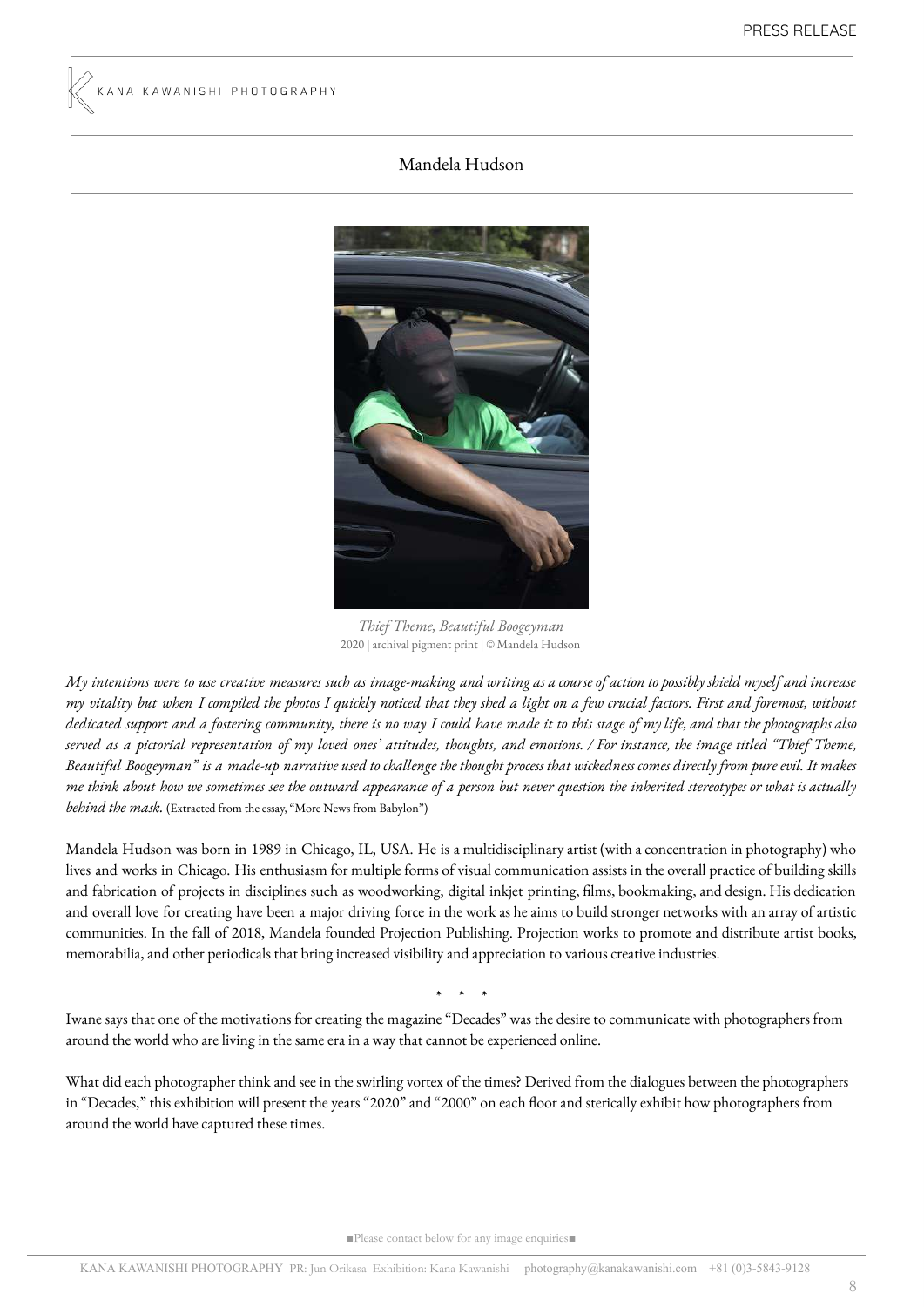### Mandela Hudson



*Thief Theme, Beautiful Boogeyman* 2020 | archival pigment print | © Mandela Hudson

My intentions were to use creative measures such as image-making and writing as a course of action to possibly shield myself and increase my vitality but when I compiled the photos I quickly noticed that they shed a light on a few crucial factors. First and foremost, without dedicated support and a fostering community, there is no way I could have made it to this stage of my life, and that the photographs also served as a pictorial representation of my loved ones' attitudes, thoughts, and emotions. / For instance, the image titled "Thief Theme, Beautiful Boogeyman" is a made-up narrative used to challenge the thought process that wickedness comes directly from pure evil. It makes me think about how we sometimes see the outward appearance of a person but never question the inherited stereotypes or what is actually *behind the mask.* (Extracted from the essay, "More News from Babylon")

Mandela Hudson was born in 1989 in Chicago, IL, USA. He is a multidisciplinary artist (with a concentration in photography) who lives and works in Chicago. His enthusiasm for multiple forms of visual communication assists in the overall practice of building skills and fabrication of projects in disciplines such as woodworking, digital inkjet printing, lms, bookmaking, and design. His dedication and overall love for creating have been a major driving force in the work as he aims to build stronger networks with an array of artistic communities. In the fall of 2018, Mandela founded Projection Publishing. Projection works to promote and distribute artist books, memorabilia, and other periodicals that bring increased visibility and appreciation to various creative industries.

\* \* \*

Iwane says that one of the motivations for creating the magazine "Decades" was the desire to communicate with photographers from around the world who are living in the same era in a way that cannot be experienced online.

What did each photographer think and see in the swirling vortex of the times? Derived from the dialogues between the photographers in "Decades," this exhibition will present the years "2020" and "2000" on each floor and sterically exhibit how photographers from around the world have captured these times.